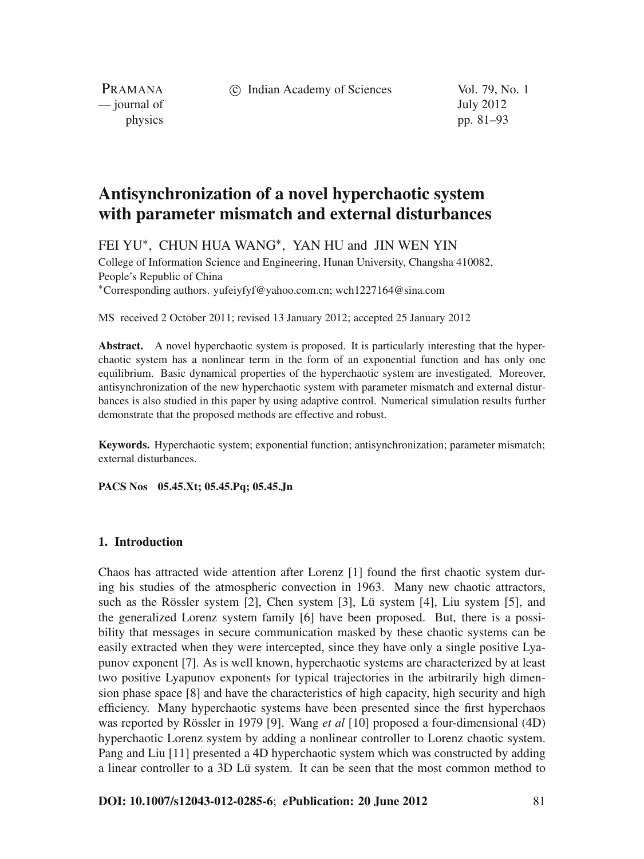c Indian Academy of Sciences Vol. 79, No. 1

PRAMANA — journal of July 2012

physics pp. 81–93

# **Antisynchronization of a novel hyperchaotic system with parameter mismatch and external disturbances**

FEI YU∗, CHUN HUA WANG∗, YAN HU and JIN WEN YIN

College of Information Science and Engineering, Hunan University, Changsha 410082, People's Republic of China

<sup>∗</sup>Corresponding authors. yufeiyfyf@yahoo.com.cn; wch1227164@sina.com

MS received 2 October 2011; revised 13 January 2012; accepted 25 January 2012

**Abstract.** A novel hyperchaotic system is proposed. It is particularly interesting that the hyperchaotic system has a nonlinear term in the form of an exponential function and has only one equilibrium. Basic dynamical properties of the hyperchaotic system are investigated. Moreover, antisynchronization of the new hyperchaotic system with parameter mismatch and external disturbances is also studied in this paper by using adaptive control. Numerical simulation results further demonstrate that the proposed methods are effective and robust.

**Keywords.** Hyperchaotic system; exponential function; antisynchronization; parameter mismatch; external disturbances.

**PACS Nos 05.45.Xt; 05.45.Pq; 05.45.Jn**

### **1. Introduction**

Chaos has attracted wide attention after Lorenz [1] found the first chaotic system during his studies of the atmospheric convection in 1963. Many new chaotic attractors, such as the Rössler system [2], Chen system [3], Lü system [4], Liu system [5], and the generalized Lorenz system family [6] have been proposed. But, there is a possibility that messages in secure communication masked by these chaotic systems can be easily extracted when they were intercepted, since they have only a single positive Lyapunov exponent [7]. As is well known, hyperchaotic systems are characterized by at least two positive Lyapunov exponents for typical trajectories in the arbitrarily high dimension phase space [8] and have the characteristics of high capacity, high security and high efficiency. Many hyperchaotic systems have been presented since the first hyperchaos was reported by Rössler in 1979 [9]. Wang *et al* [10] proposed a four-dimensional (4D) hyperchaotic Lorenz system by adding a nonlinear controller to Lorenz chaotic system. Pang and Liu [11] presented a 4D hyperchaotic system which was constructed by adding a linear controller to a 3D Lü system. It can be seen that the most common method to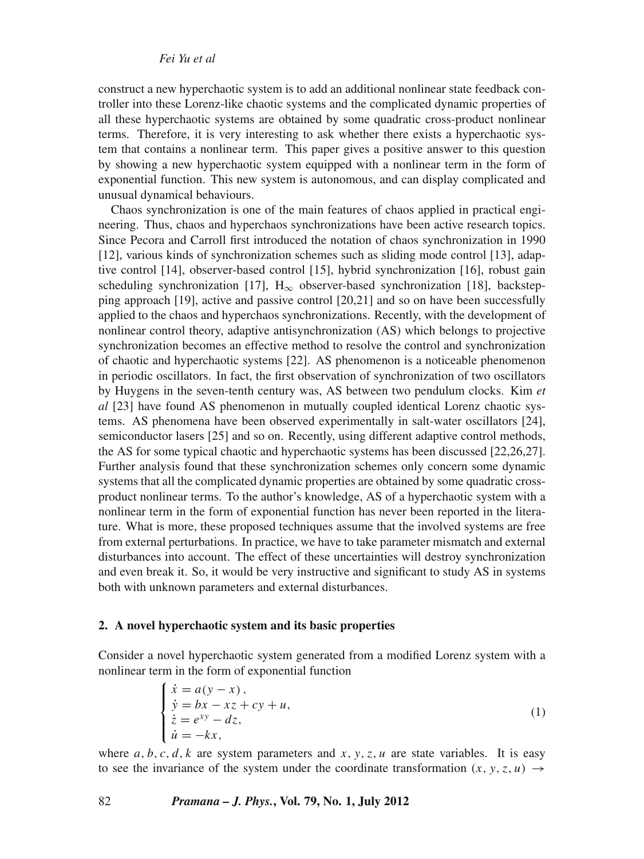construct a new hyperchaotic system is to add an additional nonlinear state feedback controller into these Lorenz-like chaotic systems and the complicated dynamic properties of all these hyperchaotic systems are obtained by some quadratic cross-product nonlinear terms. Therefore, it is very interesting to ask whether there exists a hyperchaotic system that contains a nonlinear term. This paper gives a positive answer to this question by showing a new hyperchaotic system equipped with a nonlinear term in the form of exponential function. This new system is autonomous, and can display complicated and unusual dynamical behaviours.

Chaos synchronization is one of the main features of chaos applied in practical engineering. Thus, chaos and hyperchaos synchronizations have been active research topics. Since Pecora and Carroll first introduced the notation of chaos synchronization in 1990 [12], various kinds of synchronization schemes such as sliding mode control [13], adaptive control [14], observer-based control [15], hybrid synchronization [16], robust gain scheduling synchronization [17],  $H_{\infty}$  observer-based synchronization [18], backstepping approach [19], active and passive control [20,21] and so on have been successfully applied to the chaos and hyperchaos synchronizations. Recently, with the development of nonlinear control theory, adaptive antisynchronization (AS) which belongs to projective synchronization becomes an effective method to resolve the control and synchronization of chaotic and hyperchaotic systems [22]. AS phenomenon is a noticeable phenomenon in periodic oscillators. In fact, the first observation of synchronization of two oscillators by Huygens in the seven-tenth century was, AS between two pendulum clocks. Kim *et al* [23] have found AS phenomenon in mutually coupled identical Lorenz chaotic systems. AS phenomena have been observed experimentally in salt-water oscillators [24], semiconductor lasers [25] and so on. Recently, using different adaptive control methods, the AS for some typical chaotic and hyperchaotic systems has been discussed [22,26,27]. Further analysis found that these synchronization schemes only concern some dynamic systems that all the complicated dynamic properties are obtained by some quadratic crossproduct nonlinear terms. To the author's knowledge, AS of a hyperchaotic system with a nonlinear term in the form of exponential function has never been reported in the literature. What is more, these proposed techniques assume that the involved systems are free from external perturbations. In practice, we have to take parameter mismatch and external disturbances into account. The effect of these uncertainties will destroy synchronization and even break it. So, it would be very instructive and significant to study AS in systems both with unknown parameters and external disturbances.

#### **2. A novel hyperchaotic system and its basic properties**

Consider a novel hyperchaotic system generated from a modified Lorenz system with a nonlinear term in the form of exponential function

$$
\begin{cases}\n\dot{x} = a(y - x), \\
\dot{y} = bx - xz + cy + u, \\
\dot{z} = e^{xy} - dz, \\
\dot{u} = -kx,\n\end{cases}
$$
\n(1)

where  $a, b, c, d, k$  are system parameters and  $x, y, z, u$  are state variables. It is easy to see the invariance of the system under the coordinate transformation  $(x, y, z, u) \rightarrow$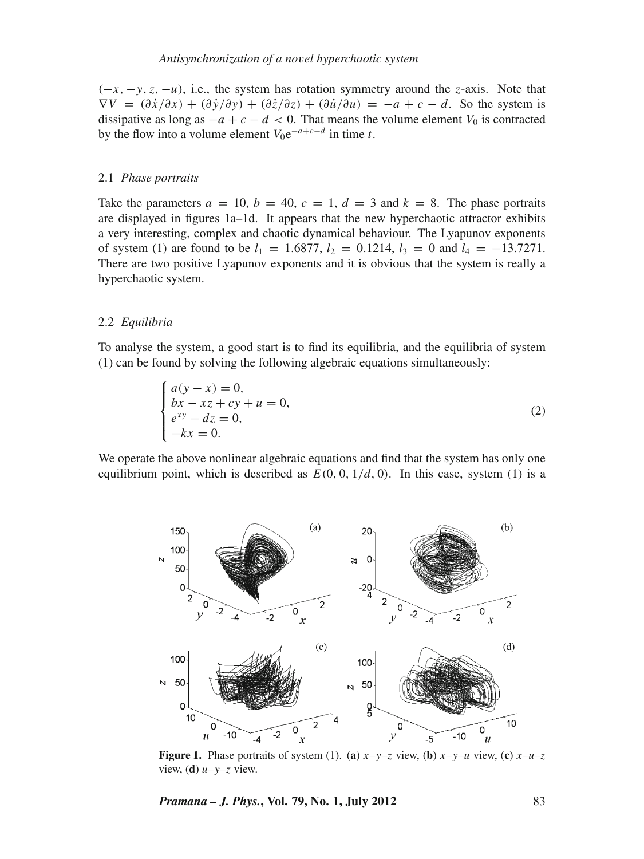(−*x*, −*y*,*z*, −*u*), i.e., the system has rotation symmetry around the *z*-axis. Note that  $\nabla V = (\partial \dot{x}/\partial x) + (\partial \dot{y}/\partial y) + (\partial \dot{z}/\partial z) + (\partial \dot{u}/\partial u) = -a + c - d$ . So the system is dissipative as long as  $-a + c - d < 0$ . That means the volume element  $V_0$  is contracted by the flow into a volume element  $V_0e^{-a+c-d}$  in time *t*.

#### 2.1 *Phase portraits*

Take the parameters  $a = 10$ ,  $b = 40$ ,  $c = 1$ ,  $d = 3$  and  $k = 8$ . The phase portraits are displayed in figures 1a–1d. It appears that the new hyperchaotic attractor exhibits a very interesting, complex and chaotic dynamical behaviour. The Lyapunov exponents of system (1) are found to be  $l_1 = 1.6877$ ,  $l_2 = 0.1214$ ,  $l_3 = 0$  and  $l_4 = -13.7271$ . There are two positive Lyapunov exponents and it is obvious that the system is really a hyperchaotic system.

#### 2.2 *Equilibria*

To analyse the system, a good start is to find its equilibria, and the equilibria of system (1) can be found by solving the following algebraic equations simultaneously:

$$
\begin{cases}\na(y - x) = 0, \\
bx - xz + cy + u = 0, \\
e^{xy} - dz = 0, \\
-kx = 0.\n\end{cases}
$$
\n(2)

We operate the above nonlinear algebraic equations and find that the system has only one equilibrium point, which is described as  $E(0, 0, 1/d, 0)$ . In this case, system (1) is a



**Figure 1.** Phase portraits of system (1). (a)  $x-y-z$  view, (b)  $x-y-u$  view, (c)  $x-u-z$ view, (**d**) *u*–*y*–*z* view.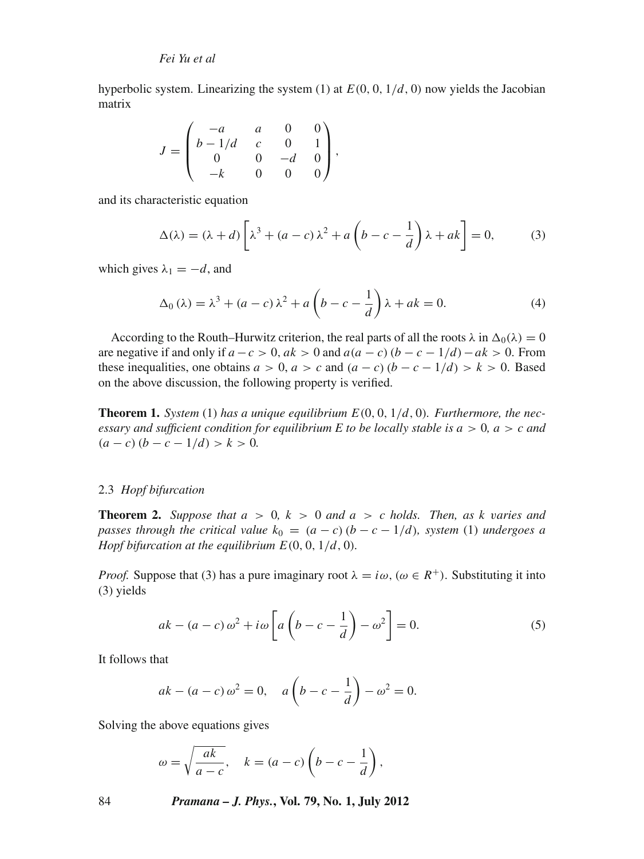hyperbolic system. Linearizing the system  $(1)$  at  $E(0, 0, 1/d, 0)$  now yields the Jacobian matrix

$$
J = \begin{pmatrix} -a & a & 0 & 0 \\ b - 1/d & c & 0 & 1 \\ 0 & 0 & -d & 0 \\ -k & 0 & 0 & 0 \end{pmatrix},
$$

and its characteristic equation

$$
\Delta(\lambda) = (\lambda + d) \left[ \lambda^3 + (a - c) \lambda^2 + a \left( b - c - \frac{1}{d} \right) \lambda + ak \right] = 0, \quad (3)
$$

which gives  $\lambda_1 = -d$ , and

$$
\Delta_0(\lambda) = \lambda^3 + (a - c)\lambda^2 + a\left(b - c - \frac{1}{d}\right)\lambda + ak = 0.
$$
 (4)

According to the Routh–Hurwitz criterion, the real parts of all the roots  $\lambda$  in  $\Delta_0(\lambda) = 0$ are negative if and only if  $a - c > 0$ ,  $ak > 0$  and  $a(a - c)(b - c - 1/d) - ak > 0$ . From these inequalities, one obtains  $a > 0$ ,  $a > c$  and  $(a - c)(b - c - 1/d) > k > 0$ . Based on the above discussion, the following property is verified.

**Theorem 1.** *System* (1) *has a unique equilibrium*  $E(0, 0, 1/d, 0)$ *. Furthermore, the necessary and sufficient condition for equilibrium E to be locally stable is*  $a > 0$ *,*  $a > c$  *and*  $(a - c)(b - c - 1/d) > k > 0.$ 

### 2.3 *Hopf bifurcation*

**Theorem 2.** *Suppose that*  $a > 0$ ,  $k > 0$  *and*  $a > c$  *holds. Then, as*  $k$  *varies and passes through the critical value*  $k_0 = (a - c)(b - c - 1/d)$ *, system* (1) *undergoes a Hopf bifurcation at the equilibrium*  $E(0, 0, 1/d, 0)$ *.* 

*Proof.* Suppose that (3) has a pure imaginary root  $\lambda = i\omega$ , ( $\omega \in R^+$ ). Substituting it into (3) yields

$$
ak - (a - c)\omega^2 + i\omega \left[ a\left(b - c - \frac{1}{d}\right) - \omega^2 \right] = 0.
$$
 (5)

It follows that

$$
ak - (a - c) \omega^2 = 0
$$
,  $a(b - c - \frac{1}{d}) - \omega^2 = 0$ .

Solving the above equations gives

$$
\omega = \sqrt{\frac{ak}{a-c}}, \quad k = (a-c)\left(b-c-\frac{1}{d}\right),
$$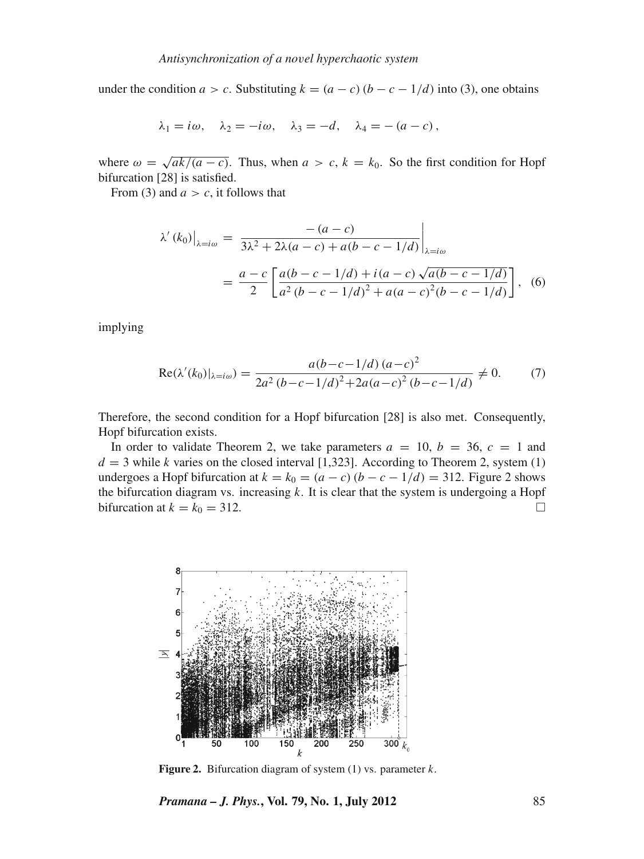under the condition  $a > c$ . Substituting  $k = (a - c) (b - c - 1/d)$  into (3), one obtains

$$
\lambda_1 = i\omega, \quad \lambda_2 = -i\omega, \quad \lambda_3 = -d, \quad \lambda_4 = -(a-c),
$$

where  $\omega = \sqrt{\frac{ak}{a - c}}$ . Thus, when  $a > c$ ,  $k = k_0$ . So the first condition for Hopf bifurcation [28] is satisfied.

From (3) and  $a > c$ , it follows that

$$
\lambda'(k_0)|_{\lambda = i\omega} = \frac{-(a-c)}{3\lambda^2 + 2\lambda(a-c) + a(b-c-1/d)}\Big|_{\lambda = i\omega}
$$

$$
= \frac{a-c}{2} \left[ \frac{a(b-c-1/d) + i(a-c)\sqrt{a(b-c-1/d)}}{a^2(b-c-1/d)^2 + a(a-c)^2(b-c-1/d)} \right], \quad (6)
$$

implying

$$
Re(\lambda'(k_0)|_{\lambda=i\omega}) = \frac{a(b-c-1/d)(a-c)^2}{2a^2(b-c-1/d)^2 + 2a(a-c)^2(b-c-1/d)} \neq 0.
$$
 (7)

Therefore, the second condition for a Hopf bifurcation [28] is also met. Consequently, Hopf bifurcation exists.

In order to validate Theorem 2, we take parameters  $a = 10$ ,  $b = 36$ ,  $c = 1$  and  $d = 3$  while *k* varies on the closed interval [1,323]. According to Theorem 2, system (1) undergoes a Hopf bifurcation at  $k = k_0 = (a - c)(b - c - 1/d) = 312$ . Figure 2 shows the bifurcation diagram vs. increasing *k*. It is clear that the system is undergoing a Hopf bifurcation at  $k = k_0 = 312$ .



**Figure 2.** Bifurcation diagram of system (1) vs. parameter *k*.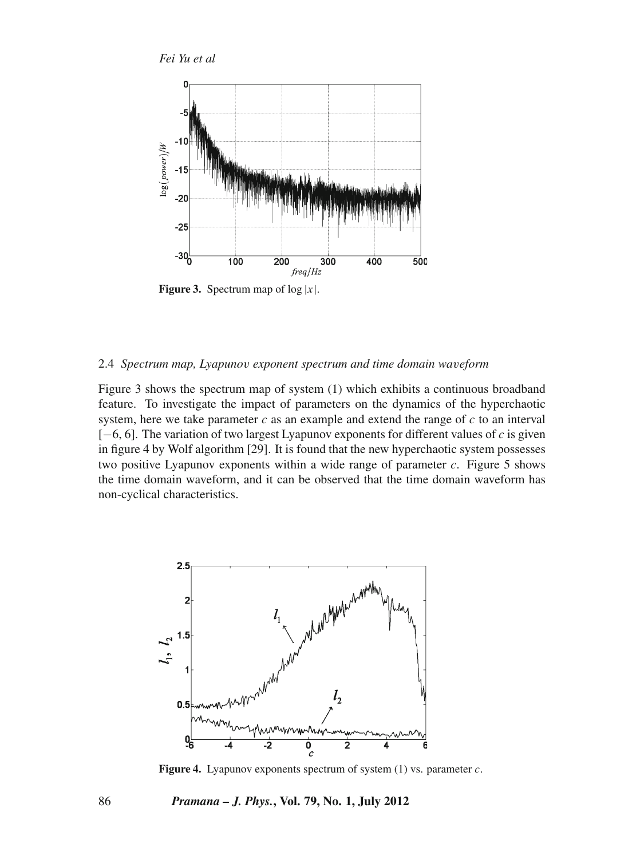

**Figure 3.** Spectrum map of  $log |x|$ .

#### 2.4 *Spectrum map, Lyapuno*v *exponent spectrum and time domain wa*v*eform*

Figure 3 shows the spectrum map of system (1) which exhibits a continuous broadband feature. To investigate the impact of parameters on the dynamics of the hyperchaotic system, here we take parameter *c* as an example and extend the range of *c* to an interval [−6, 6]. The variation of two largest Lyapunov exponents for different values of *c* is given in figure 4 by Wolf algorithm [29]. It is found that the new hyperchaotic system possesses two positive Lyapunov exponents within a wide range of parameter *c*. Figure 5 shows the time domain waveform, and it can be observed that the time domain waveform has non-cyclical characteristics.



**Figure 4.** Lyapunov exponents spectrum of system (1) vs. parameter *c*.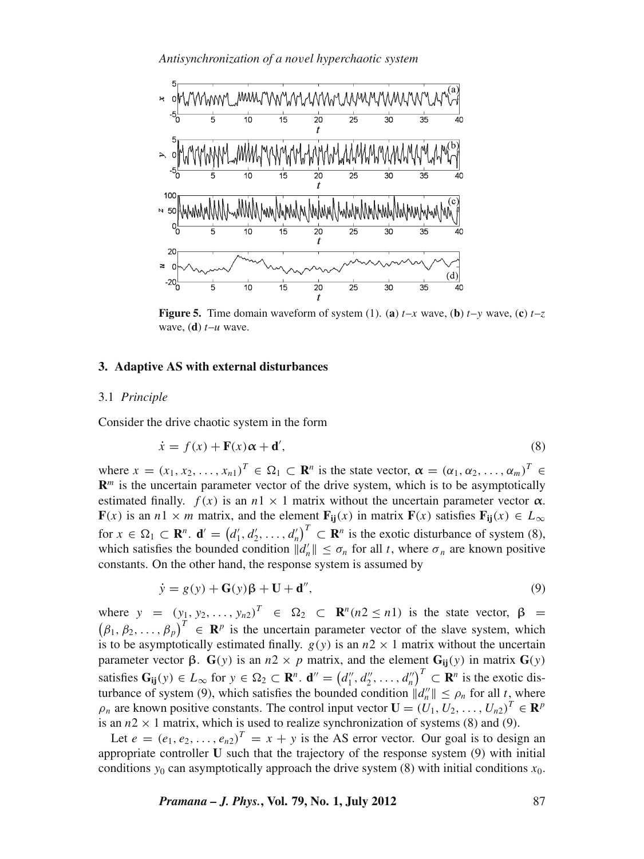

**Figure 5.** Time domain waveform of system (1). (a)  $t-x$  wave, (b)  $t-y$  wave, (c)  $t-z$ wave, (**d**) *t*–*u* wave.

#### **3. Adaptive AS with external disturbances**

#### 3.1 *Principle*

Consider the drive chaotic system in the form

$$
\dot{x} = f(x) + \mathbf{F}(x)\alpha + \mathbf{d}',\tag{8}
$$

where  $x = (x_1, x_2, \ldots, x_n)^T \in \Omega_1 \subset \mathbb{R}^n$  is the state vector,  $\alpha = (\alpha_1, \alpha_2, \ldots, \alpha_m)^T \in$  **is the uncertain parameter vector of the drive system, which is to be asymptotically** estimated finally.  $f(x)$  is an  $n \times 1$  matrix without the uncertain parameter vector  $\alpha$ . **F**(*x*) is an *n*1 × *m* matrix, and the element  $\mathbf{F}_{ii}(x)$  in matrix  $\mathbf{F}(x)$  satisfies  $\mathbf{F}_{ii}(x) \in L_{\infty}$ for  $x \in \Omega_1 \subset \mathbf{R}^n$ .  $\mathbf{d}' = (d'_1, d'_2, \dots, d'_n)^T \subset \mathbf{R}^n$  is the exotic disturbance of system (8), which satisfies the bounded condition  $\|\hat{d}_n\| \leq \sigma_n$  for all *t*, where  $\sigma_n$  are known positive constants. On the other hand, the response system is assumed by

$$
\dot{y} = g(y) + \mathbf{G}(y)\boldsymbol{\beta} + \mathbf{U} + \mathbf{d}'',\tag{9}
$$

where  $y = (y_1, y_2, \dots, y_n)^T \in \Omega_2 \subset \mathbb{R}^n (n2 \le n1)$  is the state vector,  $\beta =$  $(\beta_1, \beta_2, ..., \beta_p)^T \in \mathbb{R}^p$  is the uncertain parameter vector of the slave system, which is to be asymptotically estimated finally.  $g(y)$  is an  $n2 \times 1$  matrix without the uncertain parameter vector β.  $G(y)$  is an *n*2 × *p* matrix, and the element  $G_{ij}(y)$  in matrix  $G(y)$ satisfies  $G_{ij}(y) \in L_{\infty}$  for  $y \in \Omega_2 \subset \mathbb{R}^n$ .  $\mathbf{d}'' = (d''_1, d''_2, \ldots, d''_n)^T \subset \mathbb{R}^n$  is the exotic disturbance of system (9), which satisfies the bounded condition  $||d_n|| \le \rho_n$  for all *t*, where  $\rho_n$  are known positive constants. The control input vector  $\mathbf{U} = (U_1, U_2, \dots, U_{n2})^T \in \mathbf{R}^p$ is an  $n2 \times 1$  matrix, which is used to realize synchronization of systems (8) and (9).

Let  $e = (e_1, e_2, \dots, e_{n2})^T = x + y$  is the AS error vector. Our goal is to design an appropriate controller **U** such that the trajectory of the response system (9) with initial conditions  $y_0$  can asymptotically approach the drive system (8) with initial conditions  $x_0$ .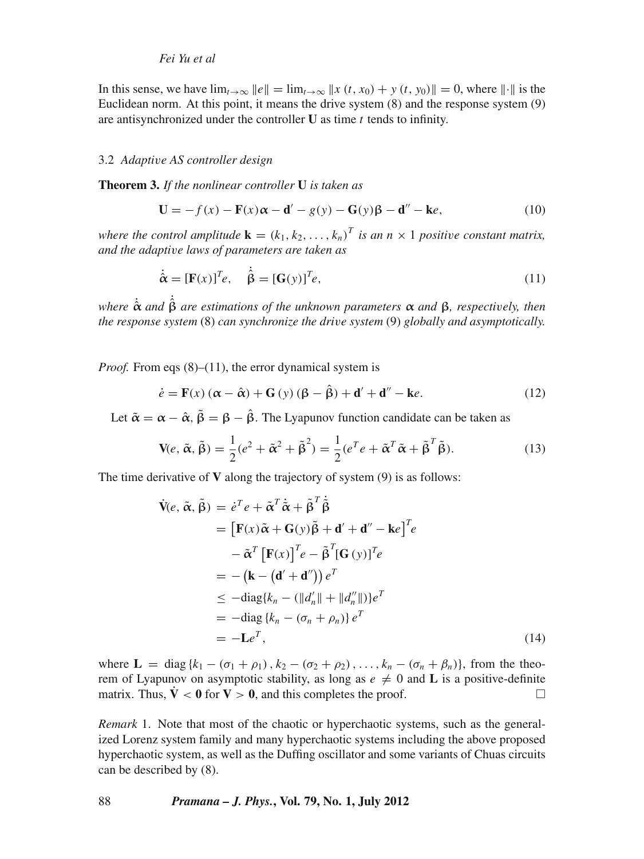In this sense, we have  $\lim_{t\to\infty} ||e|| = \lim_{t\to\infty} ||x(t, x_0) + y(t, y_0)|| = 0$ , where  $||\cdot||$  is the Euclidean norm. At this point, it means the drive system (8) and the response system (9) are antisynchronized under the controller **U** as time *t* tends to infinity.

#### 3.2 *Adapti*v*e AS controller design*

**Theorem 3.** *If the nonlinear controller* **U** *is taken as*

$$
\mathbf{U} = -f(x) - \mathbf{F}(x)\alpha - \mathbf{d}' - g(y) - \mathbf{G}(y)\beta - \mathbf{d}'' - \mathbf{k}e,
$$
\n(10)

*where the control amplitude*  $\mathbf{k} = (k_1, k_2, \dots, k_n)^T$  *is an n*  $\times$  1 *positive constant matrix, and the adapti*v*e laws of parameters are taken as*

$$
\dot{\hat{\alpha}} = [\mathbf{F}(x)]^T e, \quad \dot{\hat{\beta}} = [\mathbf{G}(y)]^T e,
$$
\n(11)

*where* ˙ **<sup>α</sup>**<sup>ˆ</sup> *and* ˙ **β**ˆ *are estimations of the unknown parameters* **α** *and* **β***, respecti*v*ely, then the response system* (8) *can synchronize the dri*v*e system* (9) *globally and asymptotically.*

*Proof.* From eqs (8)–(11), the error dynamical system is

$$
\dot{e} = \mathbf{F}(x) \left( \alpha - \hat{\alpha} \right) + \mathbf{G} \left( y \right) \left( \beta - \hat{\beta} \right) + \mathbf{d}' + \mathbf{d}'' - \mathbf{k}e. \tag{12}
$$

Let  $\tilde{\alpha} = \alpha - \hat{\alpha}$ ,  $\tilde{\beta} = \beta - \hat{\beta}$ . The Lyapunov function candidate can be taken as

$$
\mathbf{V}(e, \tilde{\boldsymbol{\alpha}}, \tilde{\boldsymbol{\beta}}) = \frac{1}{2}(e^2 + \tilde{\boldsymbol{\alpha}}^2 + \tilde{\boldsymbol{\beta}}^2) = \frac{1}{2}(e^T e + \tilde{\boldsymbol{\alpha}}^T \tilde{\boldsymbol{\alpha}} + \tilde{\boldsymbol{\beta}}^T \tilde{\boldsymbol{\beta}}).
$$
(13)

The time derivative of **V** along the trajectory of system (9) is as follows:

$$
\dot{\mathbf{V}}(e, \tilde{\alpha}, \tilde{\beta}) = \dot{e}^T e + \tilde{\alpha}^T \dot{\tilde{\alpha}} + \tilde{\beta}^T \dot{\tilde{\beta}}
$$
\n
$$
= \left[ \mathbf{F}(x) \tilde{\alpha} + \mathbf{G}(y) \tilde{\beta} + \mathbf{d}' + \mathbf{d}'' - \mathbf{k} e \right]^T e
$$
\n
$$
- \tilde{\alpha}^T \left[ \mathbf{F}(x) \right]^T e - \tilde{\beta}^T [\mathbf{G}(y)]^T e
$$
\n
$$
= - (\mathbf{k} - (\mathbf{d}' + \mathbf{d}'') ) e^T
$$
\n
$$
\leq - \text{diag}\{k_n - (||d'_n|| + ||d''_n||)\} e^T
$$
\n
$$
= - \text{diag}\{k_n - (\sigma_n + \rho_n)\} e^T
$$
\n
$$
= -\mathbf{L} e^T,
$$
\n(14)

where  $\mathbf{L} = \text{diag}\{k_1 - (\sigma_1 + \rho_1), k_2 - (\sigma_2 + \rho_2), \dots, k_n - (\sigma_n + \beta_n)\}\)$ , from the theorem of Lyapunov on asymptotic stability, as long as  $e \neq 0$  and **L** is a positive-definite matrix. Thus,  $\dot{\mathbf{V}} < 0$  for  $\mathbf{V} > 0$ , and this completes the proof.

*Remark* 1. Note that most of the chaotic or hyperchaotic systems, such as the generalized Lorenz system family and many hyperchaotic systems including the above proposed hyperchaotic system, as well as the Duffing oscillator and some variants of Chuas circuits can be described by (8).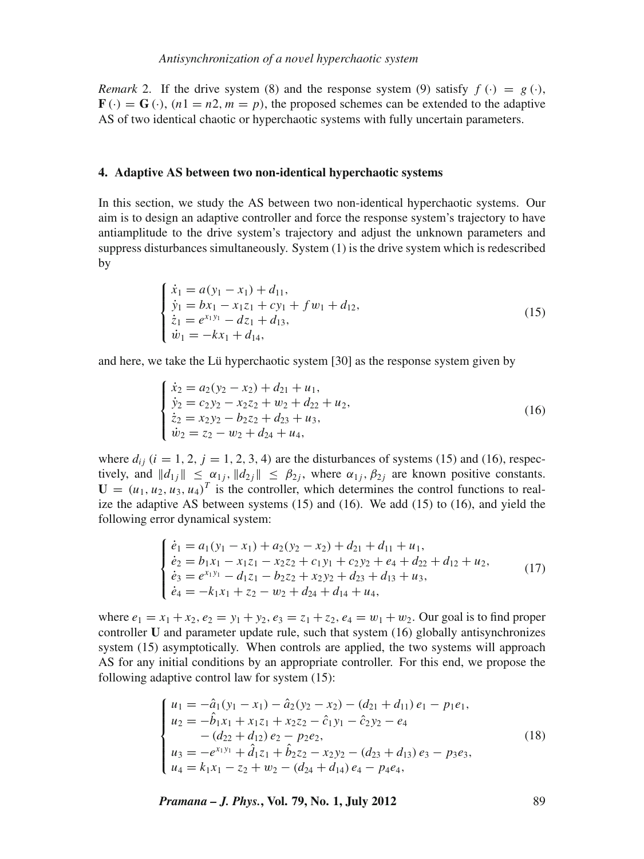*Remark* 2. If the drive system (8) and the response system (9) satisfy  $f(\cdot) = g(\cdot)$ .  $\mathbf{F}(\cdot) = \mathbf{G}(\cdot)$ ,  $(n1 = n2, m = p)$ , the proposed schemes can be extended to the adaptive AS of two identical chaotic or hyperchaotic systems with fully uncertain parameters.

#### **4. Adaptive AS between two non-identical hyperchaotic systems**

In this section, we study the AS between two non-identical hyperchaotic systems. Our aim is to design an adaptive controller and force the response system's trajectory to have antiamplitude to the drive system's trajectory and adjust the unknown parameters and suppress disturbances simultaneously. System (1) is the drive system which is redescribed by

$$
\begin{cases}\n\dot{x}_1 = a(y_1 - x_1) + d_{11}, \\
\dot{y}_1 = bx_1 - x_1 z_1 + cy_1 + f w_1 + d_{12}, \\
\dot{z}_1 = e^{x_1 y_1} - d z_1 + d_{13}, \\
\dot{w}_1 = -kx_1 + d_{14},\n\end{cases}
$$
\n(15)

and here, we take the Lü hyperchaotic system [30] as the response system given by

$$
\begin{cases}\n\dot{x}_2 = a_2(y_2 - x_2) + d_{21} + u_1, \\
\dot{y}_2 = c_2y_2 - x_2z_2 + w_2 + d_{22} + u_2, \\
\dot{z}_2 = x_2y_2 - b_2z_2 + d_{23} + u_3, \\
\dot{w}_2 = z_2 - w_2 + d_{24} + u_4,\n\end{cases}
$$
\n(16)

where  $d_{ii}$  ( $i = 1, 2, j = 1, 2, 3, 4$ ) are the disturbances of systems (15) and (16), respectively, and  $||d_{1j}|| \leq \alpha_{1j}$ ,  $||d_{2j}|| \leq \beta_{2j}$ , where  $\alpha_{1j}$ ,  $\beta_{2j}$  are known positive constants.  $\mathbf{U} = (u_1, u_2, u_3, u_4)^T$  is the controller, which determines the control functions to realize the adaptive AS between systems (15) and (16). We add (15) to (16), and yield the following error dynamical system:

$$
\begin{cases}\n\dot{e}_1 = a_1(y_1 - x_1) + a_2(y_2 - x_2) + d_{21} + d_{11} + u_1, \\
\dot{e}_2 = b_1x_1 - x_1z_1 - x_2z_2 + c_1y_1 + c_2y_2 + e_4 + d_{22} + d_{12} + u_2, \\
\dot{e}_3 = e^{x_1y_1} - d_1z_1 - b_2z_2 + x_2y_2 + d_{23} + d_{13} + u_3, \\
\dot{e}_4 = -k_1x_1 + z_2 - w_2 + d_{24} + d_{14} + u_4,\n\end{cases}
$$
\n(17)

where  $e_1 = x_1 + x_2$ ,  $e_2 = y_1 + y_2$ ,  $e_3 = z_1 + z_2$ ,  $e_4 = w_1 + w_2$ . Our goal is to find proper controller **U** and parameter update rule, such that system (16) globally antisynchronizes system (15) asymptotically. When controls are applied, the two systems will approach AS for any initial conditions by an appropriate controller. For this end, we propose the following adaptive control law for system (15):

$$
\begin{cases}\n u_1 = -\hat{a}_1(y_1 - x_1) - \hat{a}_2(y_2 - x_2) - (d_{21} + d_{11})e_1 - p_1e_1, \\
 u_2 = -\hat{b}_1x_1 + x_1z_1 + x_2z_2 - \hat{c}_1y_1 - \hat{c}_2y_2 - e_4 \\
 -(d_{22} + d_{12})e_2 - p_2e_2, \\
 u_3 = -e^{x_1y_1} + \hat{d}_1z_1 + \hat{b}_2z_2 - x_2y_2 - (d_{23} + d_{13})e_3 - p_3e_3, \\
 u_4 = k_1x_1 - z_2 + w_2 - (d_{24} + d_{14})e_4 - p_4e_4,\n\end{cases}
$$
\n(18)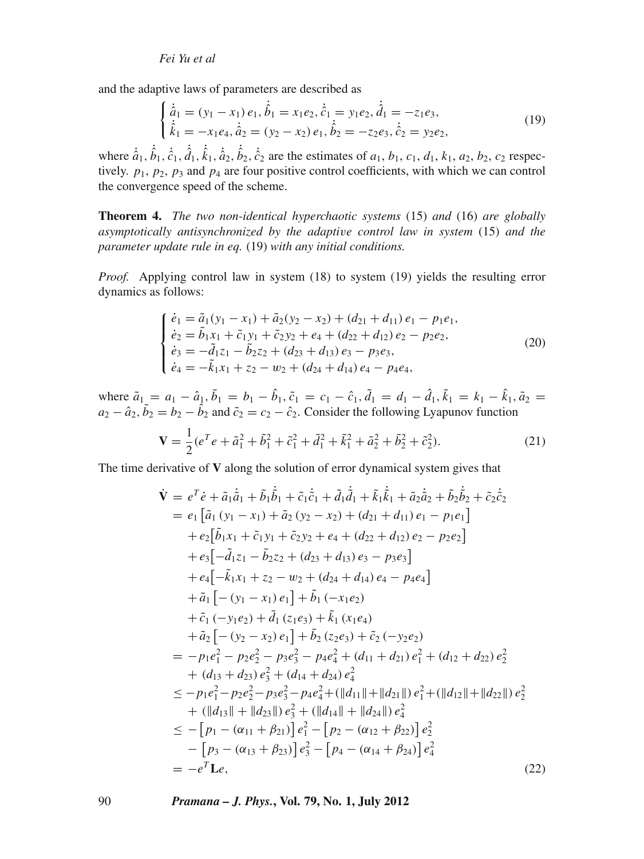and the adaptive laws of parameters are described as

$$
\begin{cases}\n\dot{\hat{a}}_1 = (y_1 - x_1) e_1, \dot{\hat{b}}_1 = x_1 e_2, \dot{\hat{c}}_1 = y_1 e_2, \dot{\hat{d}}_1 = -z_1 e_3, \\
\dot{\hat{k}}_1 = -x_1 e_4, \dot{\hat{a}}_2 = (y_2 - x_2) e_1, \dot{\hat{b}}_2 = -z_2 e_3, \dot{\hat{c}}_2 = y_2 e_2,\n\end{cases}
$$
\n(19)

where  $\dot{\hat{a}}_1$ ,  $\dot{\hat{b}}_1$ ,  $\dot{\hat{c}}_1$ ,  $\dot{\hat{d}}_1$ ,  $\dot{\hat{k}}_1$ ,  $\dot{\hat{a}}_2$ ,  $\dot{\hat{b}}_2$ ,  $\dot{\hat{c}}_2$  are the estimates of  $a_1$ ,  $b_1$ ,  $c_1$ ,  $d_1$ ,  $k_1$ ,  $a_2$ ,  $b_2$ ,  $c_2$  respectively.  $p_1, p_2, p_3$  and  $p_4$  are four positive control coefficients, with which we can control the convergence speed of the scheme.

**Theorem 4.** *The two non-identical hyperchaotic systems* (15) *and* (16) *are globally asymptotically antisynchronized by the adapti*v*e control law in system* (15) *and the parameter update rule in eq.* (19) *with any initial conditions.*

*Proof.* Applying control law in system (18) to system (19) yields the resulting error dynamics as follows:

$$
\begin{cases}\n\dot{e}_1 = \tilde{a}_1(y_1 - x_1) + \tilde{a}_2(y_2 - x_2) + (d_{21} + d_{11})e_1 - p_1e_1, \\
\dot{e}_2 = \tilde{b}_1x_1 + \tilde{c}_1y_1 + \tilde{c}_2y_2 + e_4 + (d_{22} + d_{12})e_2 - p_2e_2, \\
\dot{e}_3 = -\tilde{d}_1z_1 - \tilde{b}_2z_2 + (d_{23} + d_{13})e_3 - p_3e_3, \\
\dot{e}_4 = -\tilde{k}_1x_1 + z_2 - w_2 + (d_{24} + d_{14})e_4 - p_4e_4,\n\end{cases}
$$
\n(20)

where  $\tilde{a}_1 = a_1 - \hat{a}_1$ ,  $\tilde{b}_1 = b_1 - \hat{b}_1$ ,  $\tilde{c}_1 = c_1 - \hat{c}_1$ ,  $\tilde{d}_1 = d_1 - \hat{d}_1$ ,  $\tilde{k}_1 = k_1 - \hat{k}_1$ ,  $\tilde{a}_2 =$  $a_2 - \hat{a}_2$ ,  $\tilde{b}_2 = b_2 - \hat{b}_2$  and  $\tilde{c}_2 = c_2 - \hat{c}_2$ . Consider the following Lyapunov function

$$
\mathbf{V} = \frac{1}{2} (e^T e + \tilde{a}_1^2 + \tilde{b}_1^2 + \tilde{c}_1^2 + \tilde{d}_1^2 + \tilde{k}_1^2 + \tilde{a}_2^2 + \tilde{b}_2^2 + \tilde{c}_2^2).
$$
 (21)

The time derivative of **V** along the solution of error dynamical system gives that

$$
\dot{\mathbf{V}} = e^{T} \dot{e} + \tilde{a}_{1} \dot{\tilde{a}}_{1} + \tilde{b}_{1} \dot{\tilde{b}}_{1} + \tilde{c}_{1} \dot{\tilde{c}}_{1} + \tilde{d}_{1} \dot{\tilde{d}}_{1} + \tilde{k}_{1} \dot{\tilde{k}}_{1} + \tilde{a}_{2} \dot{\tilde{a}}_{2} + \tilde{b}_{2} \dot{\tilde{b}}_{2} + \tilde{c}_{2} \dot{\tilde{c}}_{2}
$$
\n
$$
= e_{1} \left[ \tilde{a}_{1} (y_{1} - x_{1}) + \tilde{a}_{2} (y_{2} - x_{2}) + (d_{21} + d_{11}) e_{1} - p_{1} e_{1} \right]
$$
\n
$$
+ e_{2} \left[ \tilde{b}_{1} x_{1} + \tilde{c}_{1} y_{1} + \tilde{c}_{2} y_{2} + e_{4} + (d_{22} + d_{12}) e_{2} - p_{2} e_{2} \right]
$$
\n
$$
+ e_{3} \left[ -\tilde{d}_{1} z_{1} - \tilde{b}_{2} z_{2} + (d_{23} + d_{13}) e_{3} - p_{3} e_{3} \right]
$$
\n
$$
+ e_{4} \left[ -\tilde{k}_{1} x_{1} + z_{2} - w_{2} + (d_{24} + d_{14}) e_{4} - p_{4} e_{4} \right]
$$
\n
$$
+ \tilde{a}_{1} \left[ - (y_{1} - x_{1}) e_{1} \right] + \tilde{b}_{1} \left( -x_{1} e_{2} \right)
$$
\n
$$
+ \tilde{c}_{1} \left( -y_{1} e_{2} \right) + \tilde{d}_{1} \left( z_{1} e_{3} \right) + \tilde{k}_{1} \left( x_{1} e_{4} \right)
$$
\n
$$
+ \tilde{a}_{2} \left[ - (y_{2} - x_{2}) e_{1} \right] + \tilde{b}_{2} \left( z_{2} e_{3} \right) + \tilde{c}_{2} \left( -y_{2} e_{2} \right)
$$
\n
$$
= -p_{1} e_{1}^{2} - p_{2} e_{2}^{2} - p_{3} e_{3}^{2
$$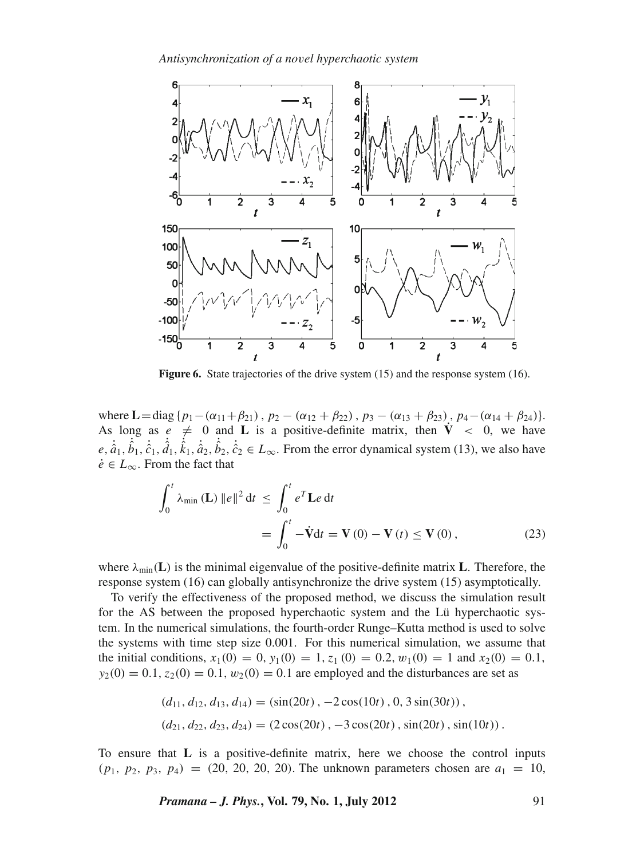

**Figure 6.** State trajectories of the drive system (15) and the response system (16).

where  $\mathbf{L} = \text{diag} \{p_1 - (\alpha_{11} + \beta_{21}), p_2 - (\alpha_{12} + \beta_{22}), p_3 - (\alpha_{13} + \beta_{23}), p_4 - (\alpha_{14} + \beta_{24})\}.$ As long as  $e \neq 0$  and **L** is a positive-definite matrix, then  $\dot{V} < 0$ , we have  $e, \dot{\hat{a}}_1, \dot{\hat{b}}_1, \dot{\hat{c}}_1, \dot{\hat{d}}_1, \dot{\hat{k}}_2, \dot{\hat{b}}_2, \dot{\hat{c}}_2 \in L_\infty$ . From the error dynamical system (13), we also have  $\dot{e} \in L_{\infty}$ . From the fact that

$$
\int_0^t \lambda_{\min} \left( \mathbf{L} \right) \|e\|^2 dt \le \int_0^t e^T \mathbf{L} e dt
$$
  
= 
$$
\int_0^t -\dot{\mathbf{V}} dt = \mathbf{V}(0) - \mathbf{V}(t) \le \mathbf{V}(0),
$$
 (23)

where  $\lambda_{\min}(\mathbf{L})$  is the minimal eigenvalue of the positive-definite matrix **L**. Therefore, the response system (16) can globally antisynchronize the drive system (15) asymptotically.

To verify the effectiveness of the proposed method, we discuss the simulation result for the AS between the proposed hyperchaotic system and the Lü hyperchaotic system. In the numerical simulations, the fourth-order Runge–Kutta method is used to solve the systems with time step size 0.001. For this numerical simulation, we assume that the initial conditions,  $x_1(0) = 0$ ,  $y_1(0) = 1$ ,  $z_1(0) = 0.2$ ,  $w_1(0) = 1$  and  $x_2(0) = 0.1$ ,  $y_2(0) = 0.1$ ,  $z_2(0) = 0.1$ ,  $w_2(0) = 0.1$  are employed and the disturbances are set as

$$
(d_{11}, d_{12}, d_{13}, d_{14}) = (\sin(20t), -2\cos(10t), 0, 3\sin(30t)),
$$
  

$$
(d_{21}, d_{22}, d_{23}, d_{24}) = (2\cos(20t), -3\cos(20t), \sin(20t), \sin(10t)).
$$

To ensure that **L** is a positive-definite matrix, here we choose the control inputs  $(p_1, p_2, p_3, p_4) = (20, 20, 20, 20)$ . The unknown parameters chosen are  $a_1 = 10$ ,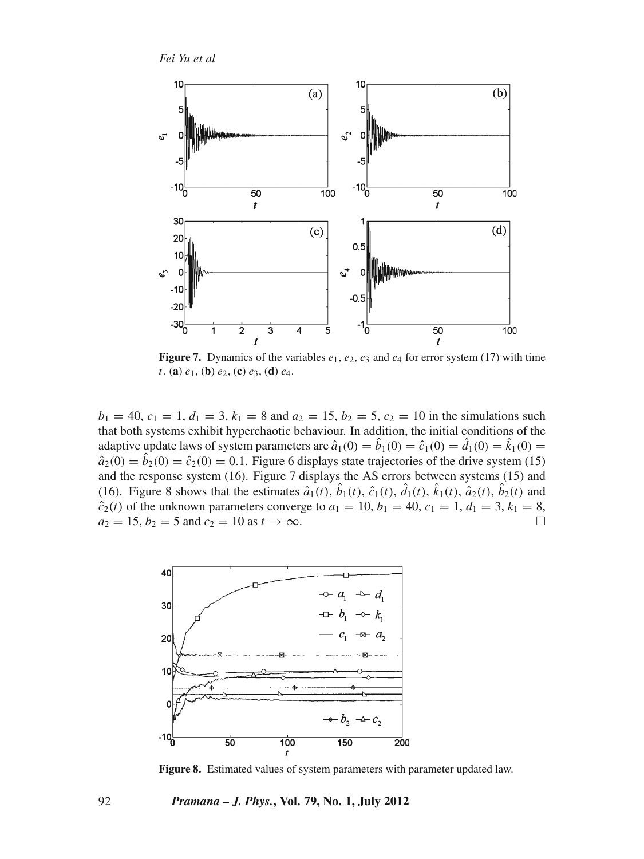*Fei Yu et al*



**Figure 7.** Dynamics of the variables  $e_1$ ,  $e_2$ ,  $e_3$  and  $e_4$  for error system (17) with time *t*. (**a**) *e*1, (**b**) *e*2, (**c**) *e*3, (**d**) *e*4.

 $b_1 = 40$ ,  $c_1 = 1$ ,  $d_1 = 3$ ,  $k_1 = 8$  and  $a_2 = 15$ ,  $b_2 = 5$ ,  $c_2 = 10$  in the simulations such that both systems exhibit hyperchaotic behaviour. In addition, the initial conditions of the adaptive update laws of system parameters are  $\hat{a}_1(0) = \hat{b}_1(0) = \hat{c}_1(0) = \hat{d}_1(0) = \hat{k}_1(0) =$  $\hat{a}_2(0) = \hat{b}_2(0) = \hat{c}_2(0) = 0.1$ . Figure 6 displays state trajectories of the drive system (15) and the response system (16). Figure 7 displays the AS errors between systems (15) and (16). Figure 8 shows that the estimates  $\hat{a}_1(t)$ ,  $\hat{b}_1(t)$ ,  $\hat{c}_1(t)$ ,  $\hat{d}_1(t)$ ,  $\hat{k}_1(t)$ ,  $\hat{a}_2(t)$ ,  $\hat{b}_2(t)$  and  $\hat{c}_2(t)$  of the unknown parameters converge to  $a_1 = 10$ ,  $b_1 = 40$ ,  $c_1 = 1$ ,  $d_1 = 3$ ,  $k_1 = 8$ ,  $a_2 = 15, b_2 = 5 \text{ and } c_2 = 10 \text{ as } t \to \infty.$ 



**Figure 8.** Estimated values of system parameters with parameter updated law.